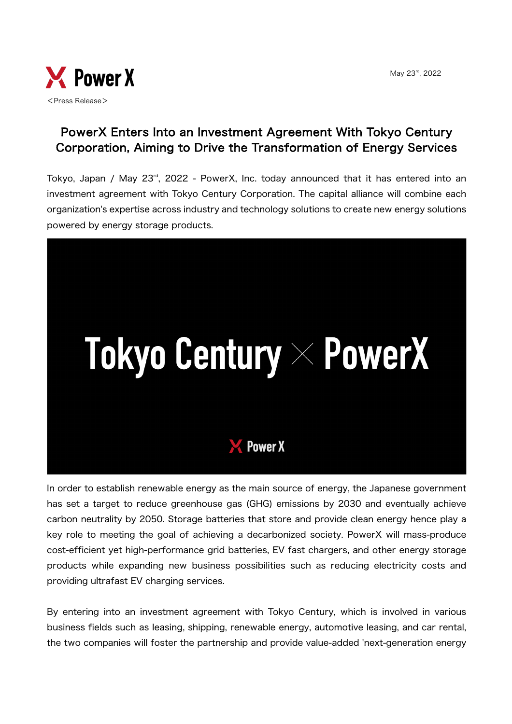May 23rd, 2022



## PowerX Enters Into an Investment Agreement With Tokyo Century Corporation, Aiming to Drive the Transformation of Energy Services

Tokyo, Japan / May 23rd, 2022 - PowerX, Inc. today announced that it has entered into an investment agreement with Tokyo Century Corporation. The capital alliance will combine each organization's expertise across industry and technology solutions to create new energy solutions powered by energy storage products.



In order to establish renewable energy as the main source of energy, the Japanese government has set a target to reduce greenhouse gas (GHG) emissions by 2030 and eventually achieve carbon neutrality by 2050. Storage batteries that store and provide clean energy hence play a key role to meeting the goal of achieving a decarbonized society. PowerX will mass-produce cost-efficient yet high-performance grid batteries, EV fast chargers, and other energy storage products while expanding new business possibilities such as reducing electricity costs and providing ultrafast EV charging services.

By entering into an investment agreement with Tokyo Century, which is involved in various business fields such as leasing, shipping, renewable energy, automotive leasing, and car rental, the two companies will foster the partnership and provide value-added 'next-generation energy